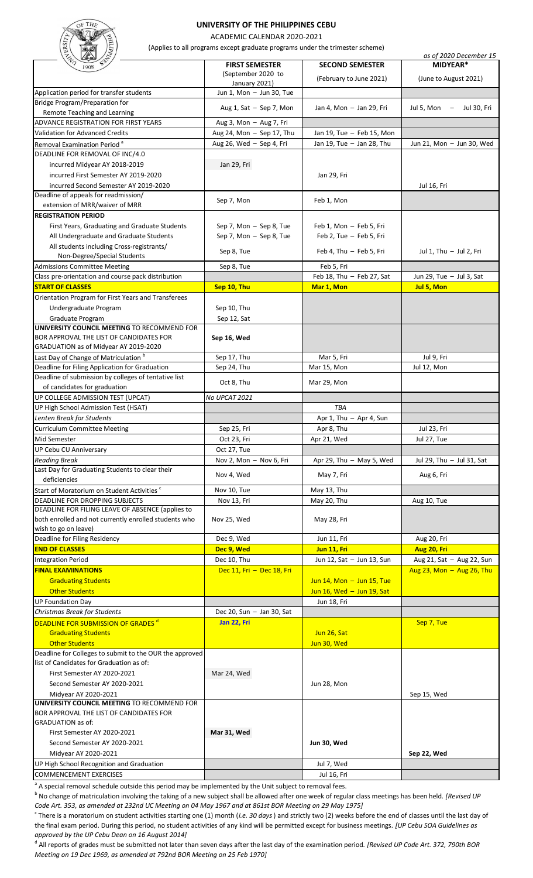## **UNIVERSITY OF THE PHILIPPINES CEBU**

ACADEMIC CALENDAR 2020-2021

(Applies to all programs except graduate programs under the trimester scheme)

| <b>REATE</b><br>Wadl                                                                                |                                     |                           | (Applies to all programs except graduate programs under the trimester scheme) | as of 2020 December 15                 |  |
|-----------------------------------------------------------------------------------------------------|-------------------------------------|---------------------------|-------------------------------------------------------------------------------|----------------------------------------|--|
| 1908                                                                                                | <b>FIRST SEMESTER</b>               |                           | <b>SECOND SEMESTER</b>                                                        | MIDYEAR*                               |  |
|                                                                                                     | (September 2020 to<br>January 2021) |                           | (February to June 2021)                                                       | (June to August 2021)                  |  |
| Application period for transfer students                                                            |                                     | Jun 1, Mon - Jun 30, Tue  |                                                                               |                                        |  |
| Bridge Program/Preparation for                                                                      |                                     |                           |                                                                               |                                        |  |
| Remote Teaching and Learning                                                                        |                                     | Aug 1, Sat $-$ Sep 7, Mon | Jan 4, Mon - Jan 29, Fri                                                      | Jul 5, Mon $-$<br>Jul 30, Fri          |  |
| ADVANCE REGISTRATION FOR FIRST YEARS                                                                | Aug 3, Mon - Aug 7, Fri             |                           |                                                                               |                                        |  |
| <b>Validation for Advanced Credits</b>                                                              | Aug 24, Mon - Sep 17, Thu           |                           | Jan 19, Tue - Feb 15, Mon                                                     |                                        |  |
| Removal Examination Period <sup>a</sup>                                                             | Aug 26, Wed - Sep 4, Fri            |                           | Jan 19, Tue - Jan 28, Thu                                                     | Jun 21, Mon - Jun 30, Wed              |  |
| DEADLINE FOR REMOVAL OF INC/4.0                                                                     |                                     |                           |                                                                               |                                        |  |
| incurred Midyear AY 2018-2019                                                                       | Jan 29, Fri                         |                           |                                                                               |                                        |  |
| incurred First Semester AY 2019-2020                                                                |                                     |                           | Jan 29, Fri                                                                   |                                        |  |
| incurred Second Semester AY 2019-2020                                                               |                                     |                           |                                                                               | Jul 16, Fri                            |  |
| Deadline of appeals for readmission/                                                                | Sep 7, Mon                          |                           | Feb 1, Mon                                                                    |                                        |  |
| extension of MRR/waiver of MRR                                                                      |                                     |                           |                                                                               |                                        |  |
| <b>REGISTRATION PERIOD</b>                                                                          |                                     |                           |                                                                               |                                        |  |
| First Years, Graduating and Graduate Students                                                       | Sep 7, Mon - Sep 8, Tue             |                           | Feb 1, Mon - Feb 5, Fri                                                       |                                        |  |
| All Undergraduate and Graduate Students                                                             | Sep 7, Mon - Sep 8, Tue             |                           | Feb 2, Tue - Feb 5, Fri                                                       |                                        |  |
| All students including Cross-registrants/                                                           | Sep 8, Tue                          |                           | Feb 4, Thu - Feb 5, Fri                                                       | Jul 1, Thu - Jul 2, Fri                |  |
| Non-Degree/Special Students<br><b>Admissions Committee Meeting</b>                                  |                                     |                           |                                                                               |                                        |  |
|                                                                                                     | Sep 8, Tue                          |                           | Feb 5, Fri                                                                    |                                        |  |
| Class pre-orientation and course pack distribution<br><b>START OF CLASSES</b>                       | Sep 10, Thu                         |                           | Feb 18, Thu - Feb 27, Sat                                                     | Jun 29, Tue - Jul 3, Sat<br>Jul 5, Mon |  |
| Orientation Program for First Years and Transferees                                                 |                                     |                           | Mar 1, Mon                                                                    |                                        |  |
| Undergraduate Program                                                                               | Sep 10, Thu                         |                           |                                                                               |                                        |  |
| Graduate Program                                                                                    | Sep 12, Sat                         |                           |                                                                               |                                        |  |
| UNIVERSITY COUNCIL MEETING TO RECOMMEND FOR                                                         |                                     |                           |                                                                               |                                        |  |
| BOR APPROVAL THE LIST OF CANDIDATES FOR                                                             | Sep 16, Wed                         |                           |                                                                               |                                        |  |
| GRADUATION as of Midyear AY 2019-2020                                                               |                                     |                           |                                                                               |                                        |  |
| Last Day of Change of Matriculation <sup>b</sup>                                                    | Sep 17, Thu                         |                           | Mar 5, Fri                                                                    | Jul 9, Fri                             |  |
| Deadline for Filing Application for Graduation                                                      | Sep 24, Thu                         |                           | Mar 15, Mon                                                                   | Jul 12, Mon                            |  |
| Deadline of submission by colleges of tentative list                                                | Oct 8, Thu                          |                           | Mar 29, Mon                                                                   |                                        |  |
| of candidates for graduation                                                                        |                                     |                           |                                                                               |                                        |  |
| UP COLLEGE ADMISSION TEST (UPCAT)                                                                   | No UPCAT 2021                       |                           |                                                                               |                                        |  |
| UP High School Admission Test (HSAT)                                                                |                                     |                           | TBA                                                                           |                                        |  |
| Lenten Break for Students                                                                           |                                     |                           | Apr 1, Thu - Apr 4, Sun                                                       |                                        |  |
| <b>Curriculum Committee Meeting</b>                                                                 | Sep 25, Fri                         |                           | Apr 8, Thu                                                                    | Jul 23, Fri                            |  |
| Mid Semester                                                                                        | Oct 23, Fri                         |                           | Apr 21, Wed                                                                   | Jul 27, Tue                            |  |
| UP Cebu CU Anniversary                                                                              | Oct 27, Tue                         |                           |                                                                               |                                        |  |
| <b>Reading Break</b>                                                                                | Nov 2, Mon - Nov 6, Fri             |                           | Apr 29, Thu $-$ May 5, Wed                                                    | Jul 29, Thu - Jul 31, Sat              |  |
| Last Day for Graduating Students to clear their<br>deficiencies                                     | Nov 4, Wed                          |                           | May 7, Fri                                                                    | Aug 6, Fri                             |  |
| Start of Moratorium on Student Activities <sup>c</sup>                                              | Nov 10, Tue                         |                           | May 13, Thu                                                                   |                                        |  |
| DEADLINE FOR DROPPING SUBJECTS                                                                      | Nov 13, Fri                         |                           | May 20, Thu                                                                   | Aug 10, Tue                            |  |
| DEADLINE FOR FILING LEAVE OF ABSENCE (applies to                                                    |                                     |                           |                                                                               |                                        |  |
| both enrolled and not currently enrolled students who                                               | Nov 25, Wed                         |                           | May 28, Fri                                                                   |                                        |  |
| wish to go on leave)                                                                                |                                     |                           |                                                                               |                                        |  |
| Deadline for Filing Residency                                                                       | Dec 9, Wed                          |                           | Jun 11, Fri                                                                   | Aug 20, Fri                            |  |
| <b>END OF CLASSES</b>                                                                               | Dec 9, Wed                          |                           | Jun 11, Fri                                                                   | Aug 20, Fri                            |  |
| <b>Integration Period</b>                                                                           | Dec 10, Thu                         |                           | Jun 12, Sat - Jun 13, Sun                                                     | Aug 21, Sat - Aug 22, Sun              |  |
| <b>FINAL EXAMINATIONS</b>                                                                           | Dec 11, Fri - Dec 18, Fri           |                           |                                                                               | Aug $23$ , Mon $-$ Aug $26$ , Thu      |  |
| <b>Graduating Students</b>                                                                          |                                     |                           | Jun $14$ , Mon $-$ Jun $15$ , Tue                                             |                                        |  |
| <b>Other Students</b>                                                                               |                                     |                           | Jun $16$ , Wed $-$ Jun $19$ , Sat                                             |                                        |  |
| <b>UP Foundation Day</b>                                                                            |                                     |                           | Jun 18, Fri                                                                   |                                        |  |
| Christmas Break for Students                                                                        | Dec 20, Sun $-$ Jan 30, Sat         |                           |                                                                               |                                        |  |
| DEADLINE FOR SUBMISSION OF GRADES <sup>d</sup>                                                      | Jan 22, Fri                         |                           |                                                                               | Sep 7, Tue                             |  |
| <b>Graduating Students</b>                                                                          |                                     |                           | Jun 26, Sat                                                                   |                                        |  |
| <b>Other Students</b>                                                                               |                                     |                           | Jun 30, Wed                                                                   |                                        |  |
| Deadline for Colleges to submit to the OUR the approved<br>list of Candidates for Graduation as of: |                                     |                           |                                                                               |                                        |  |
| First Semester AY 2020-2021                                                                         |                                     |                           |                                                                               |                                        |  |
|                                                                                                     | Mar 24, Wed                         |                           |                                                                               |                                        |  |
| Second Semester AY 2020-2021<br>Midyear AY 2020-2021                                                |                                     |                           | Jun 28, Mon                                                                   | Sep 15, Wed                            |  |
| UNIVERSITY COUNCIL MEETING TO RECOMMEND FOR                                                         |                                     |                           |                                                                               |                                        |  |
| BOR APPROVAL THE LIST OF CANDIDATES FOR                                                             |                                     |                           |                                                                               |                                        |  |
| <b>GRADUATION as of:</b>                                                                            |                                     |                           |                                                                               |                                        |  |
| First Semester AY 2020-2021                                                                         | Mar 31, Wed                         |                           |                                                                               |                                        |  |
| Second Semester AY 2020-2021                                                                        |                                     |                           | Jun 30, Wed                                                                   |                                        |  |
| Midyear AY 2020-2021                                                                                |                                     |                           |                                                                               | Sep 22, Wed                            |  |
| UP High School Recognition and Graduation                                                           |                                     |                           | Jul 7, Wed                                                                    |                                        |  |
| <b>COMMENCEMENT EXERCISES</b>                                                                       |                                     |                           | Jul 16, Fri                                                                   |                                        |  |

<sup>a</sup> A special removal schedule outside this period may be implemented by the Unit subject to removal fees.

<sup>b</sup> No change of matriculation involving the taking of a new subject shall be allowed after one week of regular class meetings has been held. *[Revised UP Code Art. 353, as amended at 232nd UC Meeting on 04 May 1967 and at 861st BOR Meeting on 29 May 1975]*

c There is a moratorium on student activities starting one (1) month (*i.e. 30 days*) and strictly two (2) weeks before the end of classes until the last day of the final exam period. During this period, no student activities of any kind will be permitted except for business meetings. *[UP Cebu SOA Guidelines as approved by the UP Cebu Dean on 16 August 2014]*

d All reports of grades must be submitted not later than seven days after the last day of the examination period. *[Revised UP Code Art. 372, 790th BOR Meeting on 19 Dec 1969, as amended at 792nd BOR Meeting on 25 Feb 1970]*